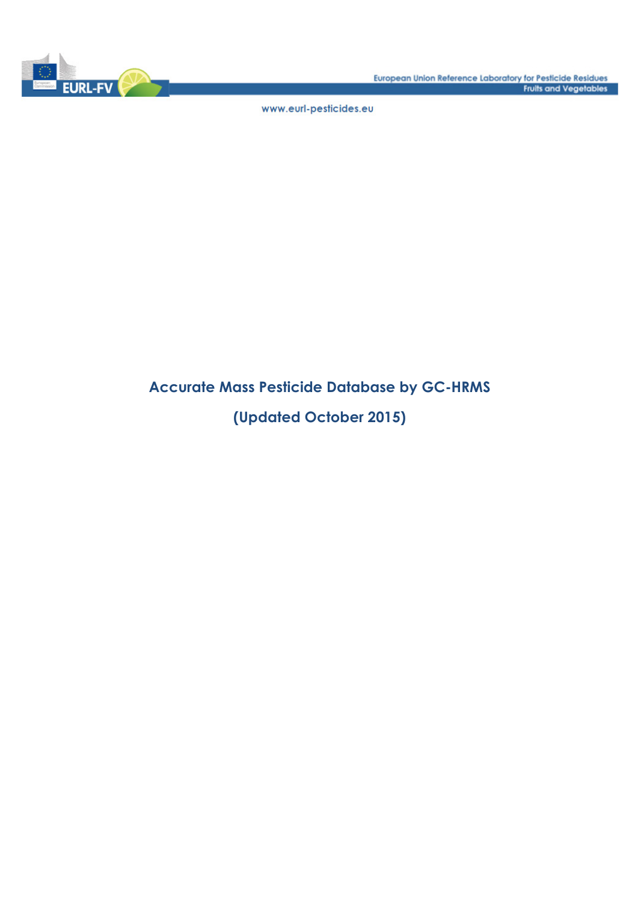

www.eurl-pesticides.eu

## **Accurate Mass Pesticide Database by GC-HRMS**

### **(Updated October 2015)**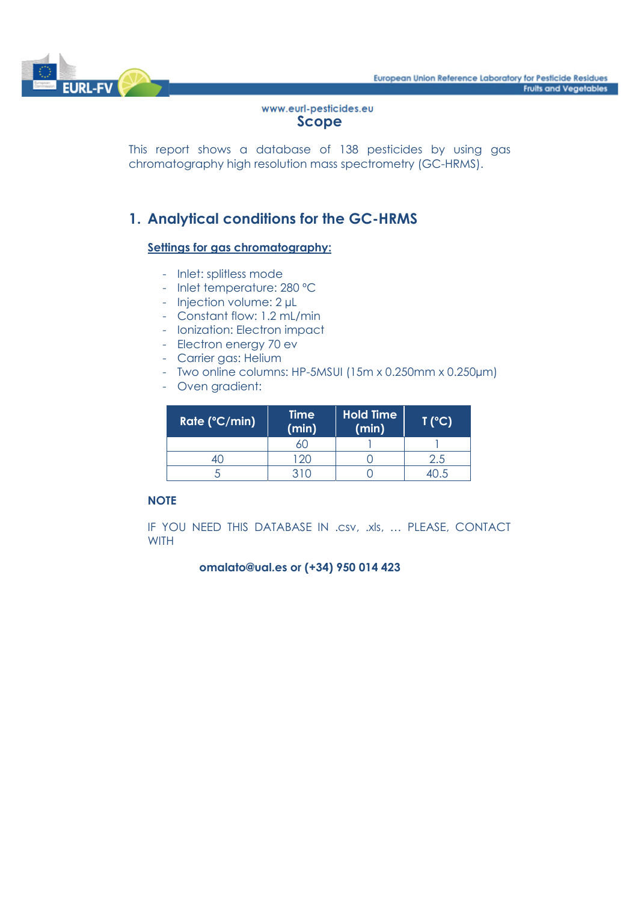

#### www.eurl-pesticides.eu **Scope**

This report shows a database of 138 pesticides by using gas chromatography high resolution mass spectrometry (GC-HRMS).

### **1. Analytical conditions for the GC-HRMS**

#### **Settings for gas chromatography:**

- Inlet: splitless mode
- Inlet temperature: 280 ºC
- Injection volume: 2 µL
- Constant flow: 1.2 mL/min
- Ionization: Electron impact
- Electron energy 70 ev
- Carrier gas: Helium
- Two online columns: HP-5MSUI (15m x 0.250mm x 0.250µm)
- Oven gradient:

| Rate (°C/min) | <b>Time</b><br>(min) | <b>Hold Time</b><br>(min) | T (°C) |
|---------------|----------------------|---------------------------|--------|
|               |                      |                           |        |
|               | $120 -$              |                           | 2.5    |
|               | 310                  |                           |        |

#### **NOTE**

IF YOU NEED THIS DATABASE IN .csv, .xls, … PLEASE, CONTACT **WITH** 

#### **omalato@ual.es or (+34) 950 014 423**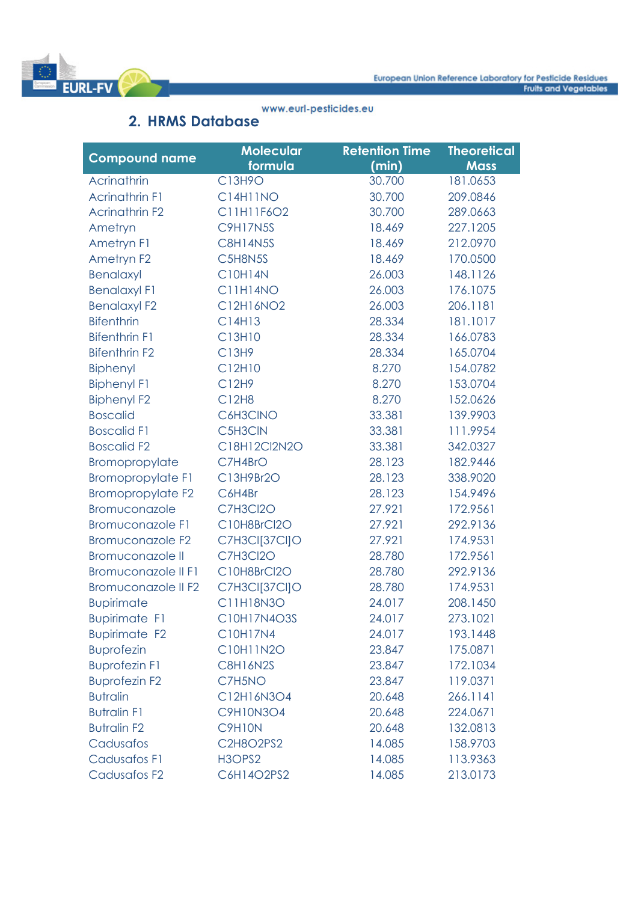

#### www.eurl-pesticides.eu

# **2. HRMS Database**

|                          | <b>Molecular</b> | <b>Retention Time</b> | <b>Theoretical</b> |
|--------------------------|------------------|-----------------------|--------------------|
| <b>Compound name</b>     | formula          | (min)                 | <b>Mass</b>        |
| Acrinathrin              | C13H9O           | 30.700                | 181.0653           |
| <b>Acrinathrin F1</b>    | <b>C14H11NO</b>  | 30.700                | 209.0846           |
| <b>Acrinathrin F2</b>    | C11H11F6O2       | 30.700                | 289.0663           |
| Ametryn                  | <b>C9H17N5S</b>  | 18.469                | 227.1205           |
| Ametryn F1               | <b>C8H14N5S</b>  | 18.469                | 212.0970           |
| Ametryn F2               | C5H8N5S          | 18.469                | 170.0500           |
| Benalaxyl                | <b>C10H14N</b>   | 26.003                | 148.1126           |
| <b>Benalaxyl F1</b>      | C11H14NO         | 26.003                | 176.1075           |
| <b>Benalaxyl F2</b>      | C12H16NO2        | 26.003                | 206.1181           |
| <b>Bifenthrin</b>        | C14H13           | 28.334                | 181.1017           |
| <b>Bifenthrin F1</b>     | C13H10           | 28.334                | 166.0783           |
| <b>Bifenthrin F2</b>     | C13H9            | 28.334                | 165.0704           |
| Biphenyl                 | C12H10           | 8.270                 | 154.0782           |
| <b>Biphenyl F1</b>       | C12H9            | 8.270                 | 153.0704           |
| <b>Biphenyl F2</b>       | C12H8            | 8.270                 | 152.0626           |
| <b>Boscalid</b>          | C6H3CINO         | 33.381                | 139.9903           |
| <b>Boscalid F1</b>       | C5H3CIN          | 33.381                | 111.9954           |
| <b>Boscalid F2</b>       | C18H12Cl2N2O     | 33.381                | 342.0327           |
| Bromopropylate           | C7H4BrO          | 28.123                | 182.9446           |
| <b>Bromopropylate F1</b> | C13H9Br2O        | 28.123                | 338.9020           |
| <b>Bromopropylate F2</b> | C6H4Br           | 28.123                | 154.9496           |
| Bromuconazole            | C7H3Cl2O         | 27.921                | 172.9561           |
| <b>Bromuconazole F1</b>  | C10H8BrCl2O      | 27.921                | 292.9136           |
| <b>Bromuconazole F2</b>  | C7H3CI[37CI]O    | 27.921                | 174.9531           |
| <b>Bromuconazole II</b>  | C7H3Cl2O         | 28.780                | 172.9561           |
| Bromuconazole II F1      | C10H8BrCl2O      | 28.780                | 292.9136           |
| Bromuconazole II F2      | C7H3CI[37CI]O    | 28.780                | 174.9531           |
| <b>Bupirimate</b>        | C11H18N3O        | 24.017                | 208.1450           |
| <b>Bupirimate F1</b>     | C10H17N4O3S      | 24.017                | 273.1021           |
| <b>Bupirimate F2</b>     | C10H17N4         | 24.017                | 193.1448           |
| <b>Buprofezin</b>        | C10H11N2O        | 23.847                | 175.0871           |
| <b>Buprofezin F1</b>     | <b>C8H16N2S</b>  | 23.847                | 172.1034           |
| <b>Buprofezin F2</b>     | C7H5NO           | 23.847                | 119.0371           |
| <b>Butralin</b>          | C12H16N3O4       | 20.648                | 266.1141           |
| <b>Butralin F1</b>       | <b>C9H10N3O4</b> | 20.648                | 224.0671           |
| <b>Butralin F2</b>       | C9H10N           | 20.648                | 132.0813           |
| Cadusafos                | C2H8O2PS2        | 14.085                | 158.9703           |
| <b>Cadusafos F1</b>      | H3OPS2           | 14.085                | 113.9363           |
| Cadusafos F2             | C6H14O2PS2       | 14.085                | 213.0173           |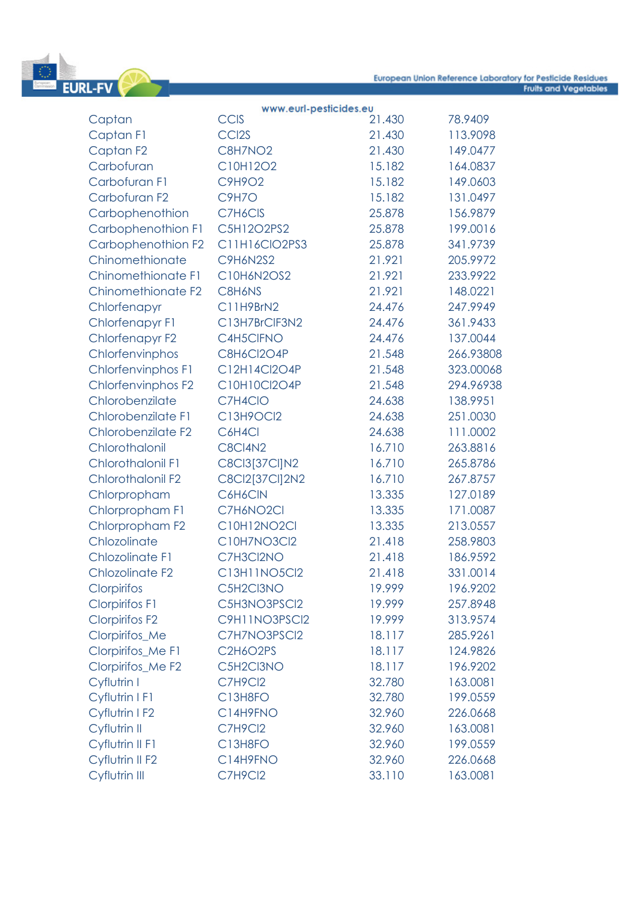

|                        | www.eurl-pesticides.eu |        |           |
|------------------------|------------------------|--------|-----------|
| Captan                 | <b>CCIS</b>            | 21.430 | 78.9409   |
| Captan F1              | CCI <sub>2S</sub>      | 21.430 | 113.9098  |
| Captan <sub>F2</sub>   | C8H7NO2                | 21.430 | 149.0477  |
| Carbofuran             | C10H12O2               | 15.182 | 164.0837  |
| Carbofuran F1          | C9H9O2                 | 15.182 | 149.0603  |
| Carbofuran F2          | <b>C9H7O</b>           | 15.182 | 131.0497  |
| Carbophenothion        | C7H6CIS                | 25.878 | 156.9879  |
| Carbophenothion F1     | C5H12O2PS2             | 25.878 | 199.0016  |
| Carbophenothion F2     | C11H16CIO2PS3          | 25.878 | 341.9739  |
| Chinomethionate        | <b>C9H6N2S2</b>        | 21.921 | 205.9972  |
| Chinomethionate F1     | C10H6N2OS2             | 21.921 | 233.9922  |
| Chinomethionate F2     | C8H6NS                 | 21.921 | 148.0221  |
| Chlorfenapyr           | C11H9BrN2              | 24.476 | 247.9949  |
| Chlorfenapyr F1        | C13H7BrClF3N2          | 24.476 | 361.9433  |
| Chlorfenapyr F2        | C4H5CIFNO              | 24.476 | 137.0044  |
| Chlorfenvinphos        | C8H6Cl2O4P             | 21.548 | 266.93808 |
| Chlorfenvinphos F1     | C12H14Cl2O4P           | 21.548 | 323.00068 |
| Chlorfenvinphos F2     | C10H10Cl2O4P           | 21.548 | 294.96938 |
| Chlorobenzilate        | C7H4CIO                | 24.638 | 138.9951  |
| Chlorobenzilate F1     | C13H9OCl2              | 24.638 | 251.0030  |
| Chlorobenzilate F2     | C6H4Cl                 | 24.638 | 111.0002  |
| Chlorothalonil         | <b>C8CI4N2</b>         | 16.710 | 263.8816  |
| Chlorothalonil F1      | C8Cl3[37Cl]N2          | 16.710 | 265.8786  |
| Chlorothalonil F2      | C8Cl2[37Cl]2N2         | 16.710 | 267.8757  |
| Chlorpropham           | C6H6CIN                | 13.335 | 127.0189  |
| Chlorpropham F1        | C7H6NO2CI              | 13.335 | 171.0087  |
| Chlorpropham F2        | C10H12NO2Cl            | 13.335 | 213.0557  |
| Chlozolinate           | C10H7NO3Cl2            | 21.418 | 258.9803  |
| <b>Chlozolinate F1</b> | C7H3Cl2NO              | 21.418 | 186.9592  |
| <b>Chlozolinate F2</b> | C13H11NO5Cl2           | 21.418 | 331.0014  |
| Clorpirifos            | C5H2Cl3NO              | 19.999 | 196.9202  |
| <b>Clorpirifos F1</b>  | C5H3NO3PSCI2           | 19.999 | 257.8948  |
| <b>Clorpirifos F2</b>  | C9H11NO3PSCI2          | 19.999 | 313.9574  |
| Clorpirifos_Me         | C7H7NO3PSCI2           | 18.117 | 285.9261  |
| Clorpirifos_Me F1      | C2H6O2PS               | 18.117 | 124.9826  |
| Clorpirifos_Me F2      | C5H2Cl3NO              | 18.117 | 196.9202  |
| Cyflutrin I            | C7H9Cl2                | 32.780 | 163.0081  |
| Cyflutrin I F1         | C13H8FO                | 32.780 | 199.0559  |
| Cyflutrin I F2         | C14H9FNO               | 32.960 | 226.0668  |
| Cyflutrin II           | C7H9Cl2                | 32.960 | 163.0081  |
| Cyflutrin II F1        | C13H8FO                | 32.960 | 199.0559  |
| Cyflutrin II F2        | C14H9FNO               | 32.960 | 226.0668  |
| Cyflutrin III          | C7H9Cl2                | 33.110 | 163.0081  |
|                        |                        |        |           |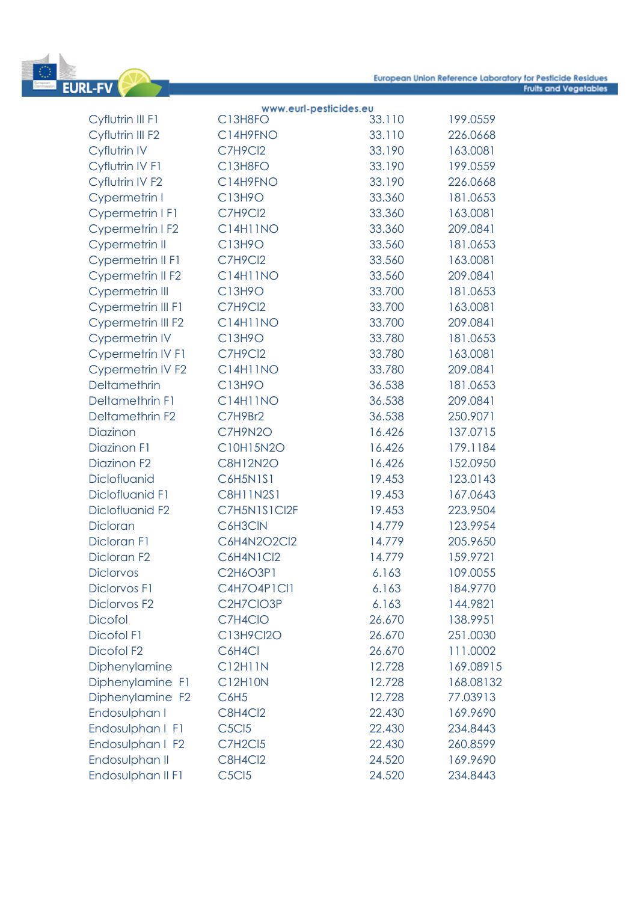

|                             | www.eurl-pesticides.eu         |        |           |
|-----------------------------|--------------------------------|--------|-----------|
| Cyflutrin III F1            | C13H8FO                        | 33.110 | 199.0559  |
| Cyflutrin III F2            | C14H9FNO                       | 33.110 | 226.0668  |
| Cyflutrin IV                | C7H9Cl2                        | 33.190 | 163.0081  |
| Cyflutrin IV F1             | C13H8FO                        | 33.190 | 199.0559  |
| Cyflutrin IV F2             | C14H9FNO                       | 33.190 | 226.0668  |
| Cypermetrin I               | C13H9O                         | 33.360 | 181.0653  |
| <b>Cypermetrin I F1</b>     | C7H9Cl2                        | 33.360 | 163.0081  |
| Cypermetrin I F2            | <b>C14H11NO</b>                | 33.360 | 209.0841  |
| Cypermetrin II              | C13H9O                         | 33.560 | 181.0653  |
| Cypermetrin II F1           | C7H9Cl2                        | 33.560 | 163.0081  |
| Cypermetrin II F2           | <b>C14H11NO</b>                | 33.560 | 209.0841  |
| Cypermetrin III             | C13H9O                         | 33.700 | 181.0653  |
| Cypermetrin III F1          | C7H9Cl2                        | 33.700 | 163.0081  |
| Cypermetrin III F2          | <b>C14H11NO</b>                | 33.700 | 209.0841  |
| <b>Cypermetrin IV</b>       | C13H9O                         | 33.780 | 181.0653  |
| Cypermetrin IV F1           | C7H9Cl2                        | 33.780 | 163.0081  |
| <b>Cypermetrin IV F2</b>    | <b>C14H11NO</b>                | 33.780 | 209.0841  |
| Deltamethrin                | C13H9O                         | 36.538 | 181.0653  |
| <b>Deltamethrin F1</b>      | <b>C14H11NO</b>                | 36.538 | 209.0841  |
| Deltamethrin F2             | C7H9Br2                        | 36.538 | 250.9071  |
| Diazinon                    | C7H9N2O                        | 16.426 | 137.0715  |
| Diazinon F1                 | C10H15N2O                      | 16.426 | 179.1184  |
| Diazinon F <sub>2</sub>     | <b>C8H12N2O</b>                | 16.426 | 152.0950  |
| Diclofluanid                | <b>C6H5N1S1</b>                | 19.453 | 123.0143  |
| Diclofluanid F1             | <b>C8H11N2S1</b>               | 19.453 | 167.0643  |
| Diclofluanid F <sub>2</sub> | C7H5N1S1Cl2F                   | 19.453 | 223.9504  |
| Dicloran                    | C6H3CIN                        | 14.779 | 123.9954  |
| Dicloran F1                 | C6H4N2O2Cl2                    | 14.779 | 205.9650  |
| Dicloran F <sub>2</sub>     | C6H4N1Cl2                      | 14.779 | 159.9721  |
| <b>Diclorvos</b>            | C2H6O3P1                       | 6.163  | 109.0055  |
| <b>Diclorvos F1</b>         | C4H7O4P1Cl1                    | 6.163  | 184.9770  |
| Diclorvos F <sub>2</sub>    | C2H7CIO3P                      | 6.163  | 144.9821  |
| <b>Dicofol</b>              | C7H4CIO                        | 26.670 | 138.9951  |
| Dicofol F1                  | C13H9Cl2O                      | 26.670 | 251.0030  |
| Dicofol F <sub>2</sub>      | C6H4Cl                         | 26.670 | 111.0002  |
| Diphenylamine               | C12H11N                        | 12.728 | 169.08915 |
| Diphenylamine F1            | C12H10N                        | 12.728 | 168.08132 |
| Diphenylamine F2            | C <sub>6</sub> H <sub>5</sub>  | 12.728 | 77.03913  |
| Endosulphan I               | C8H4Cl2                        | 22.430 | 169.9690  |
| Endosulphan I F1            | <b>C5Cl5</b>                   | 22.430 | 234.8443  |
| Endosulphan I F2            | <b>C7H2Cl5</b>                 | 22.430 | 260.8599  |
| Endosulphan II              | C8H4Cl2                        | 24.520 | 169.9690  |
| Endosulphan II F1           | C <sub>5</sub> C <sub>15</sub> | 24.520 | 234.8443  |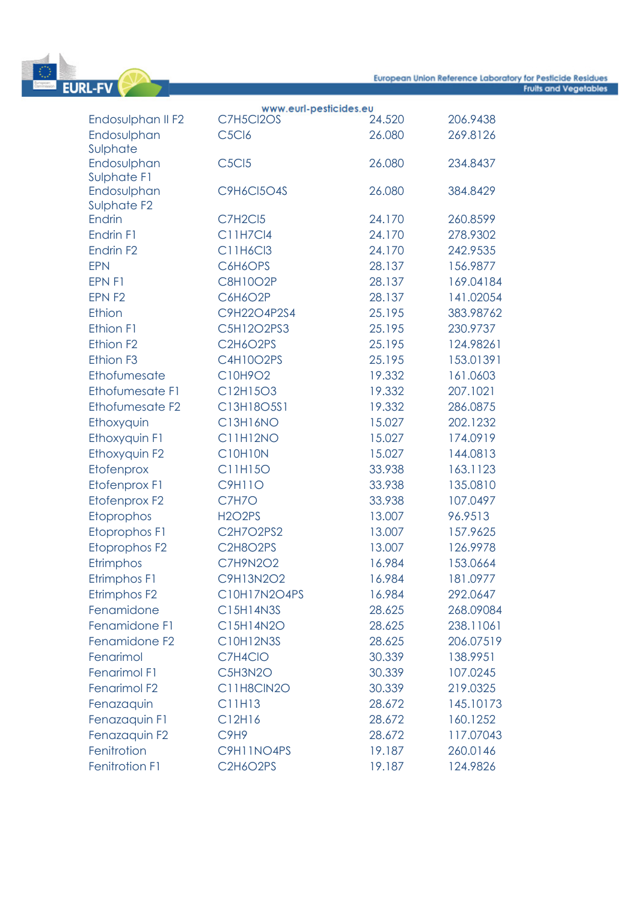

|                              | www.eurl-pesticides.eu         |        |           |
|------------------------------|--------------------------------|--------|-----------|
| Endosulphan II F2            | C7H5Cl2OS                      | 24.520 | 206.9438  |
| Endosulphan                  | C <sub>5</sub> Cl <sub>6</sub> | 26.080 | 269.8126  |
| Sulphate                     |                                |        |           |
| Endosulphan                  | C <sub>5</sub> C <sub>15</sub> | 26.080 | 234.8437  |
| Sulphate F1                  |                                |        |           |
| Endosulphan                  | <b>C9H6CI5O4S</b>              | 26.080 | 384.8429  |
| Sulphate F2<br><b>Endrin</b> | C7H2Cl5                        | 24.170 | 260.8599  |
| Endrin F1                    | <b>C11H7Cl4</b>                | 24.170 | 278.9302  |
| Endrin F <sub>2</sub>        | C11H6Cl3                       | 24.170 | 242.9535  |
| <b>EPN</b>                   | C6H6OPS                        | 28.137 | 156.9877  |
|                              |                                |        |           |
| EPN F1                       | <b>C8H10O2P</b>                | 28.137 | 169.04184 |
| EPN F2                       | C6H6O2P                        | 28.137 | 141.02054 |
| Ethion                       | C9H22O4P2S4                    | 25.195 | 383.98762 |
| Ethion F1                    | C5H12O2PS3                     | 25.195 | 230.9737  |
| Ethion F <sub>2</sub>        | C2H6O2PS                       | 25.195 | 124.98261 |
| Ethion F <sub>3</sub>        | C4H10O2PS                      | 25.195 | 153.01391 |
| Ethofumesate                 | C10H9O2                        | 19.332 | 161.0603  |
| Ethofumesate F1              | C12H15O3                       | 19.332 | 207.1021  |
| Ethofumesate F2              | C13H18O5S1                     | 19.332 | 286.0875  |
| Ethoxyquin                   | C13H16NO                       | 15.027 | 202.1232  |
| Ethoxyquin F1                | <b>C11H12NO</b>                | 15.027 | 174.0919  |
| Ethoxyquin F2                | <b>C10H10N</b>                 | 15.027 | 144.0813  |
| Etofenprox                   | C11H15O                        | 33.938 | 163.1123  |
| Etofenprox F1                | <b>C9H11O</b>                  | 33.938 | 135.0810  |
| Etofenprox F2                | C7H7O                          | 33.938 | 107.0497  |
| Etoprophos                   | <b>H2O2PS</b>                  | 13.007 | 96.9513   |
| <b>Etoprophos F1</b>         | C2H7O2PS2                      | 13.007 | 157.9625  |
| Etoprophos F2                | C2H8O2PS                       | 13.007 | 126.9978  |
| Etrimphos                    | C7H9N2O2                       | 16.984 | 153.0664  |
| Etrimphos F1                 | C9H13N2O2                      | 16.984 | 181.0977  |
| Etrimphos F2                 | C10H17N2O4PS                   | 16.984 | 292.0647  |
| Fenamidone                   | C15H14N3S                      | 28.625 | 268.09084 |
| Fenamidone F1                | C15H14N2O                      | 28.625 | 238.11061 |
| Fenamidone F2                | C10H12N3S                      | 28.625 | 206.07519 |
| Fenarimol                    | C7H4CIO                        | 30.339 | 138.9951  |
| Fenarimol F1                 | C5H3N2O                        | 30.339 | 107.0245  |
| Fenarimol F2                 | C11H8CIN2O                     | 30.339 | 219.0325  |
| Fenazaquin                   | C11H13                         | 28.672 | 145.10173 |
| Fenazaquin F1                | C12H16                         | 28.672 | 160.1252  |
| Fenazaquin F2                | C <sub>9</sub> H <sub>9</sub>  | 28.672 | 117.07043 |
| Fenitrotion                  | C9H11NO4PS                     | 19.187 | 260.0146  |
| Fenitrotion F1               | C2H6O2PS                       | 19.187 | 124.9826  |
|                              |                                |        |           |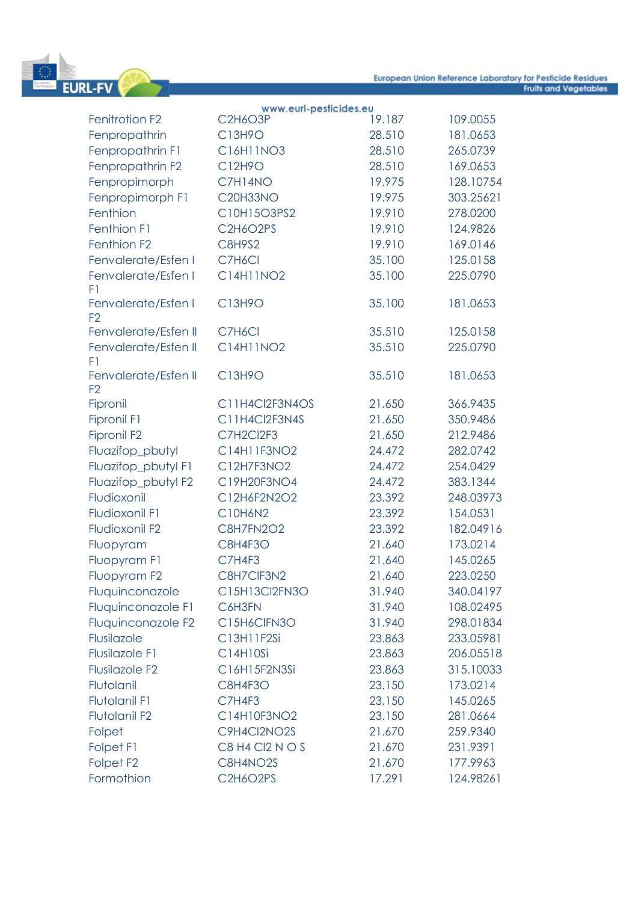

|                                        | www.eurl-pesticides.eu |        |           |
|----------------------------------------|------------------------|--------|-----------|
| Fenitrotion F2                         | <b>C2H6O3P</b>         | 19.187 | 109.0055  |
| Fenpropathrin                          | C13H9O                 | 28.510 | 181.0653  |
| Fenpropathrin F1                       | C16H11NO3              | 28.510 | 265.0739  |
| Fenpropathrin F2                       | C12H9O                 | 28.510 | 169.0653  |
| Fenpropimorph                          | C7H14NO                | 19.975 | 128.10754 |
| Fenpropimorph F1                       | <b>C20H33NO</b>        | 19.975 | 303.25621 |
| Fenthion                               | C10H15O3PS2            | 19.910 | 278.0200  |
| Fenthion F1                            | C2H6O2PS               | 19.910 | 124.9826  |
| Fenthion F <sub>2</sub>                | <b>C8H9S2</b>          | 19.910 | 169.0146  |
| Fenvalerate/Esfen I                    | C7H6Cl                 | 35.100 | 125.0158  |
| Fenvalerate/Esfen I<br>F1              | C14H11NO2              | 35.100 | 225.0790  |
| Fenvalerate/Esfen I<br>F <sub>2</sub>  | C13H9O                 | 35.100 | 181.0653  |
| Fenvalerate/Esfen II                   | C7H6Cl                 | 35.510 | 125.0158  |
| Fenvalerate/Esfen II<br>F1             | C14H11NO2              | 35.510 | 225.0790  |
| Fenvalerate/Esfen II<br>F <sub>2</sub> | C13H9O                 | 35.510 | 181.0653  |
| Fipronil                               | C11H4Cl2F3N4OS         | 21.650 | 366.9435  |
| <b>Fipronil F1</b>                     | C11H4Cl2F3N4S          | 21.650 | 350.9486  |
| <b>Fipronil F2</b>                     | C7H2Cl2F3              | 21.650 | 212.9486  |
| Fluazifop_pbutyl                       | C14H11F3NO2            | 24.472 | 282.0742  |
| Fluazifop_pbutyl F1                    | C12H7F3NO2             | 24.472 | 254.0429  |
| Fluazifop_pbutyl F2                    | C19H20F3NO4            | 24.472 | 383.1344  |
| Fludioxonil                            | C12H6F2N2O2            | 23.392 | 248.03973 |
| <b>Fludioxonil F1</b>                  | C10H6N2                | 23.392 | 154.0531  |
| Fludioxonil F2                         | <b>C8H7FN2O2</b>       | 23.392 | 182.04916 |
| Fluopyram                              | C8H4F3O                | 21.640 | 173.0214  |
| Fluopyram F1                           | C7H4F3                 | 21.640 | 145.0265  |
| Fluopyram F2                           | C8H7CIF3N2             | 21.640 | 223.0250  |
| Fluquinconazole                        | C15H13Cl2FN3O          | 31.940 | 340.04197 |
| Fluquinconazole F1                     | C6H3FN                 | 31.940 | 108.02495 |
| Fluquinconazole F2                     | C15H6CIFN3O            | 31.940 | 298.01834 |
| Flusilazole                            | C13H11F2Si             | 23.863 | 233.05981 |
| <b>Flusilazole F1</b>                  | C14H10Si               | 23.863 | 206.05518 |
| <b>Flusilazole F2</b>                  | C16H15F2N3Si           | 23.863 | 315.10033 |
| Flutolanil                             | <b>C8H4F3O</b>         | 23.150 | 173.0214  |
| <b>Flutolanil F1</b>                   | C7H4F3                 | 23.150 | 145.0265  |
| Flutolanil F2                          | C14H10F3NO2            | 23.150 | 281.0664  |
| Folpet                                 | C9H4Cl2NO2S            | 21.670 | 259.9340  |
| Folpet F1                              | C8 H4 CI2 N O S        | 21.670 | 231.9391  |
| Folpet F <sub>2</sub>                  | C8H4NO2S               | 21.670 | 177.9963  |
| Formothion                             | C2H6O2PS               | 17.291 | 124.98261 |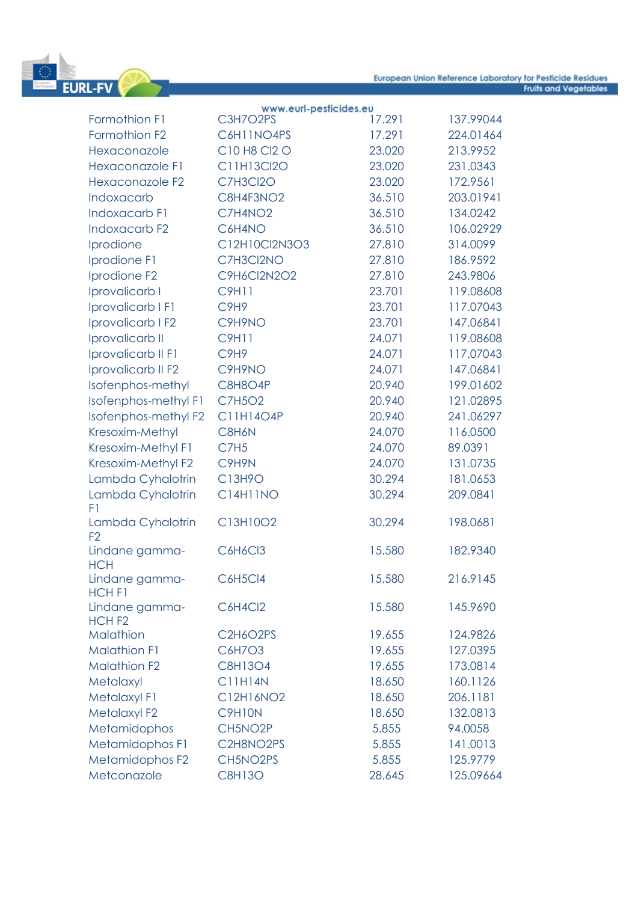

|                                     | www.eurl-pesticides.eu        |        |           |
|-------------------------------------|-------------------------------|--------|-----------|
| Formothion F1                       | C3H7O2PS                      | 17.291 | 137.99044 |
| Formothion F2                       | C6H11NO4PS                    | 17.291 | 224.01464 |
| Hexaconazole                        | C10 H8 Cl2 O                  | 23.020 | 213.9952  |
| <b>Hexaconazole F1</b>              | C11H13Cl2O                    | 23.020 | 231.0343  |
| Hexaconazole F2                     | C7H3Cl2O                      | 23.020 | 172.9561  |
| Indoxacarb                          | C8H4F3NO2                     | 36.510 | 203.01941 |
| Indoxacarb F1                       | C7H4NO2                       | 36.510 | 134.0242  |
| <b>Indoxacarb F2</b>                | C6H4NO                        | 36.510 | 106.02929 |
| Iprodione                           | C12H10Cl2N3O3                 | 27.810 | 314.0099  |
| Iprodione F1                        | C7H3Cl2NO                     | 27.810 | 186.9592  |
| Iprodione F2                        | C9H6Cl2N2O2                   | 27.810 | 243.9806  |
| Iprovalicarb I                      | <b>C9H11</b>                  | 23.701 | 119.08608 |
| Iprovalicarb I F1                   | C <sub>9</sub> H <sub>9</sub> | 23.701 | 117.07043 |
| Iprovalicarb I F2                   | C9H9NO                        | 23.701 | 147.06841 |
| Iprovalicarb II                     | <b>C9H11</b>                  | 24.071 | 119.08608 |
| Iprovalicarb II F1                  | C9H9                          | 24.071 | 117.07043 |
| Iprovalicarb II F2                  | C9H9NO                        | 24.071 | 147.06841 |
| Isofenphos-methyl                   | C8H8O4P                       | 20.940 | 199.01602 |
| Isofenphos-methyl F1                | <b>C7H5O2</b>                 | 20.940 | 121.02895 |
| Isofenphos-methyl F2                | C11H14O4P                     | 20.940 | 241.06297 |
| Kresoxim-Methyl                     | C8H6N                         | 24.070 | 116.0500  |
| Kresoxim-Methyl F1                  | C7H <sub>5</sub>              | 24.070 | 89.0391   |
| Kresoxim-Methyl F2                  | C9H9N                         | 24.070 | 131.0735  |
| Lambda Cyhalotrin                   | C13H9O                        | 30.294 | 181.0653  |
| Lambda Cyhalotrin<br>F1             | <b>C14H11NO</b>               | 30.294 | 209.0841  |
| Lambda Cyhalotrin<br>F <sub>2</sub> | C13H10O2                      | 30.294 | 198.0681  |
| Lindane gamma-<br><b>HCH</b>        | C6H6Cl3                       | 15.580 | 182.9340  |
| Lindane gamma-<br>HCH <sub>F1</sub> | <b>C6H5Cl4</b>                | 15.580 | 216.9145  |
| Lindane gamma-<br>HCH <sub>F2</sub> | C6H4Cl2                       | 15.580 | 145.9690  |
| <b>Malathion</b>                    | C2H6O2PS                      | 19.655 | 124.9826  |
| <b>Malathion F1</b>                 | C6H7O3                        | 19.655 | 127.0395  |
| <b>Malathion F2</b>                 | C8H13O4                       | 19.655 | 173.0814  |
| Metalaxyl                           | <b>C11H14N</b>                | 18.650 | 160.1126  |
| Metalaxyl F1                        | C12H16NO2                     | 18.650 | 206.1181  |
| Metalaxyl F2                        | C9H10N                        | 18.650 | 132.0813  |
| Metamidophos                        | CH5NO2P                       | 5.855  | 94.0058   |
| Metamidophos F1                     | C2H8NO2PS                     | 5.855  | 141.0013  |
| Metamidophos F2                     | CH5NO2PS                      | 5.855  | 125.9779  |
| Metconazole                         | <b>C8H13O</b>                 | 28.645 | 125.09664 |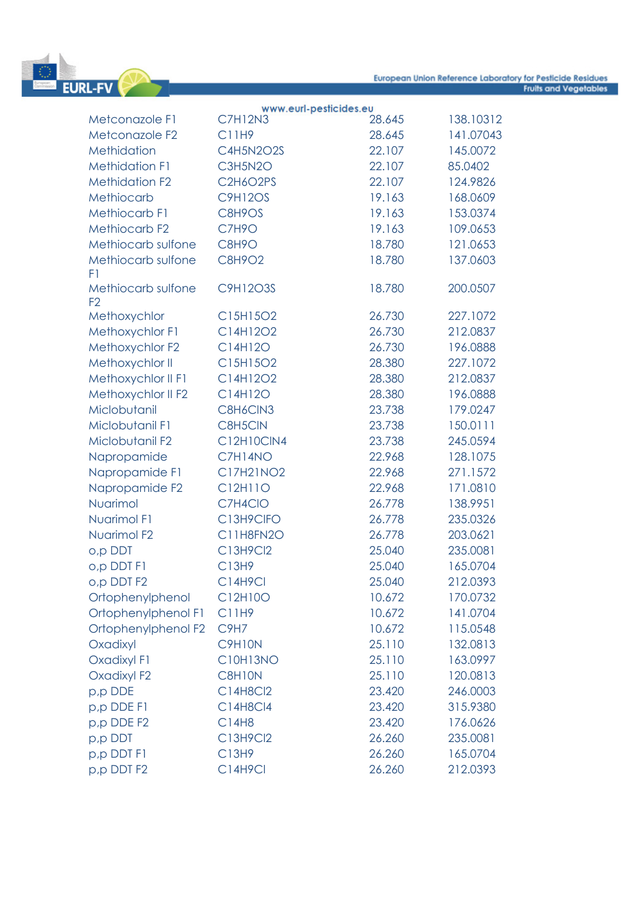

#### www.eurl-pesticides.eu Metconazole F1 C7H12N3 28.645 138.10312 Metconazole F2 C11H9 28.645 141.07043 Methidation C4H5N2O2S 22.107 145.0072 Methidation F1 C3H5N2O 22.107 85.0402 Methidation F2 C2H6O2PS 22.107 124.9826 Methiocarb C9H12OS 19.163 168.0609 Methiocarb F1 C8H9OS 19.163 153.0374 Methiocarb F2 C7H9O 19.163 109.0653 Methiocarb sulfone C8H9O 18.780 121.0653 Methiocarb sulfone C8H9O2 18.780 137.0603 F1 Methiocarb sulfone C9H12O3S 18.780 200.0507 F2 Methoxychlor C15H15O2 26.730 227.1072 Methoxychlor F1 C14H12O2 26.730 212.0837 Methoxychlor F2 C14H12O 26.730 196.0888 Methoxychlor II C15H15O2 28.380 227.1072 Methoxychlor II F1 C14H12O2 28.380 212.0837 Methoxychlor II F2 C14H12O 28.380 196.0888 Miclobutanil C8H6ClN3 23.738 179.0247 Miclobutanil F1 C8H5ClN 23.738 150.0111 Miclobutanil F2 C12H10ClN4 23.738 245.0594 Napropamide C7H14NO 22.968 128.1075 Napropamide F1 C17H21NO2 22.968 271.1572 Napropamide F2 C12H11O 22.968 171.0810 Nuarimol C7H4ClO 26.778 138.9951 Nuarimol F1 C13H9ClFO 26.778 235.0326 Nuarimol F2 C11H8FN2O 26.778 203.0621 o,p DDT C13H9Cl2 25.040 235.0081 o,p DDT F1 C13H9 25.040 165.0704 o,p DDT F2 C14H9Cl 25.040 212.0393 Ortophenylphenol C12H10O 10.672 170.0732 Ortophenylphenol F1 C11H9 10.672 141.0704 Ortophenylphenol F2 C9H7 10.672 115.0548 Oxadixyl C9H10N 25.110 132.0813 Oxadixyl F1 C10H13NO 25.110 163.0997 Oxadixyl F2 C8H10N 25.110 120.0813 p,p DDE C14H8Cl2 23.420 246.0003 p,p DDE F1 C14H8Cl4 23.420 315.9380 p,p DDE F2 C14H8 23.420 176.0626 p,p DDT C13H9Cl2 26.260 235.0081 p,p DDT F1 C13H9 26.260 165.0704 p,p DDT F2 C14H9Cl 26.260 212.0393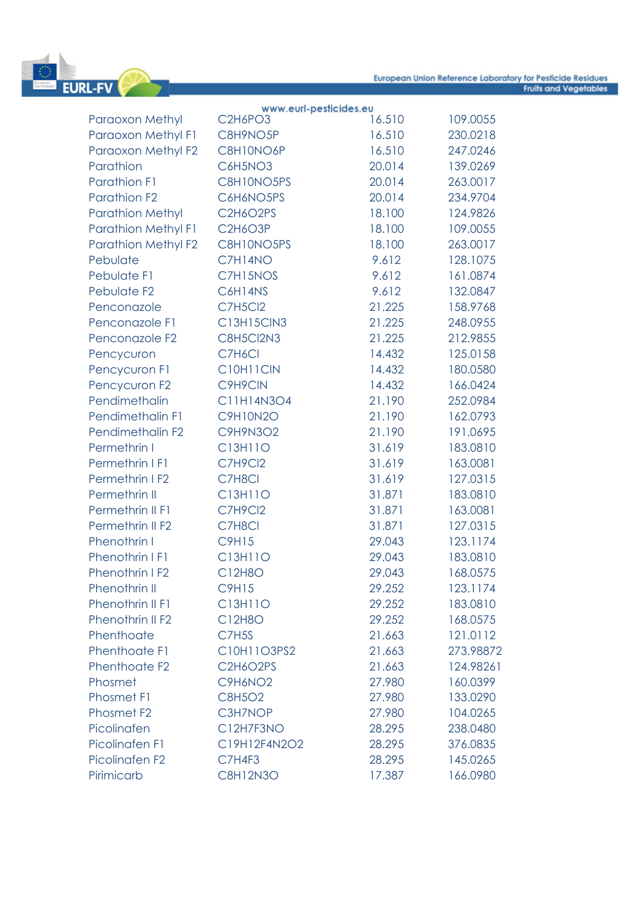

|                            | www.eurl-pesticides.eu                        |        |           |
|----------------------------|-----------------------------------------------|--------|-----------|
| <b>Paraoxon Methyl</b>     | C <sub>2</sub> H <sub>6</sub> PO <sub>3</sub> | 16.510 | 109.0055  |
| Paraoxon Methyl F1         | C8H9NO5P                                      | 16.510 | 230.0218  |
| Paraoxon Methyl F2         | C8H10NO6P                                     | 16.510 | 247.0246  |
| Parathion                  | C6H5NO3                                       | 20.014 | 139.0269  |
| <b>Parathion F1</b>        | C8H10NO5PS                                    | 20.014 | 263.0017  |
| Parathion F <sub>2</sub>   | C6H6NO5PS                                     | 20.014 | 234.9704  |
| <b>Parathion Methyl</b>    | C2H6O2PS                                      | 18.100 | 124.9826  |
| <b>Parathion Methyl F1</b> | <b>C2H6O3P</b>                                | 18.100 | 109.0055  |
| <b>Parathion Methyl F2</b> | C8H10NO5PS                                    | 18.100 | 263.0017  |
| Pebulate                   | C7H14NO                                       | 9.612  | 128.1075  |
| Pebulate F1                | C7H15NOS                                      | 9.612  | 161.0874  |
| Pebulate F <sub>2</sub>    | C6H14NS                                       | 9.612  | 132.0847  |
| Penconazole                | <b>C7H5Cl2</b>                                | 21.225 | 158.9768  |
| Penconazole F1             | C13H15ClN3                                    | 21.225 | 248.0955  |
| Penconazole F2             | C8H5Cl2N3                                     | 21.225 | 212.9855  |
| Pencycuron                 | C7H6Cl                                        | 14.432 | 125.0158  |
| Pencycuron F1              | C10H11CIN                                     | 14.432 | 180.0580  |
| Pencycuron F2              | C9H9CIN                                       | 14.432 | 166.0424  |
| Pendimethalin              | C11H14N3O4                                    | 21.190 | 252.0984  |
| Pendimethalin F1           | <b>C9H10N2O</b>                               | 21.190 | 162.0793  |
| Pendimethalin F2           | <b>C9H9N3O2</b>                               | 21.190 | 191.0695  |
| Permethrin I               | C13H11O                                       | 31.619 | 183.0810  |
| Permethrin I F1            | C7H9Cl2                                       | 31.619 | 163.0081  |
| Permethrin I F2            | C7H8Cl                                        | 31.619 | 127.0315  |
| Permethrin II              | C13H11O                                       | 31.871 | 183.0810  |
| Permethrin II F1           | C7H9Cl2                                       | 31.871 | 163.0081  |
| Permethrin II F2           | C7H8Cl                                        | 31.871 | 127.0315  |
| Phenothrin I               | <b>C9H15</b>                                  | 29.043 | 123.1174  |
| Phenothrin I F1            | C13H11O                                       | 29.043 | 183.0810  |
| Phenothrin I F2            | C12H8O                                        | 29.043 | 168.0575  |
| Phenothrin II              | <b>C9H15</b>                                  | 29.252 | 123.1174  |
| Phenothrin II F1           | C13H11O                                       | 29.252 | 183.0810  |
| Phenothrin II F2           | C12H8O                                        | 29.252 | 168.0575  |
| Phenthoate                 | C7H <sub>5</sub> S                            | 21.663 | 121.0112  |
| Phenthoate F1              | C10H11O3PS2                                   | 21.663 | 273.98872 |
| Phenthoate F <sub>2</sub>  | C2H6O2PS                                      | 21.663 | 124.98261 |
| Phosmet                    | C9H6NO <sub>2</sub>                           | 27.980 | 160.0399  |
| <b>Phosmet F1</b>          | <b>C8H5O2</b>                                 | 27.980 | 133.0290  |
| Phosmet F <sub>2</sub>     | C3H7NOP                                       | 27.980 | 104.0265  |
| Picolinafen                | C12H7F3NO                                     | 28.295 | 238.0480  |
| <b>Picolinafen F1</b>      | C19H12F4N2O2                                  | 28.295 | 376.0835  |
| Picolinafen F2             | C7H4F3                                        | 28.295 | 145.0265  |
| Pirimicarb                 | <b>C8H12N3O</b>                               | 17.387 | 166.0980  |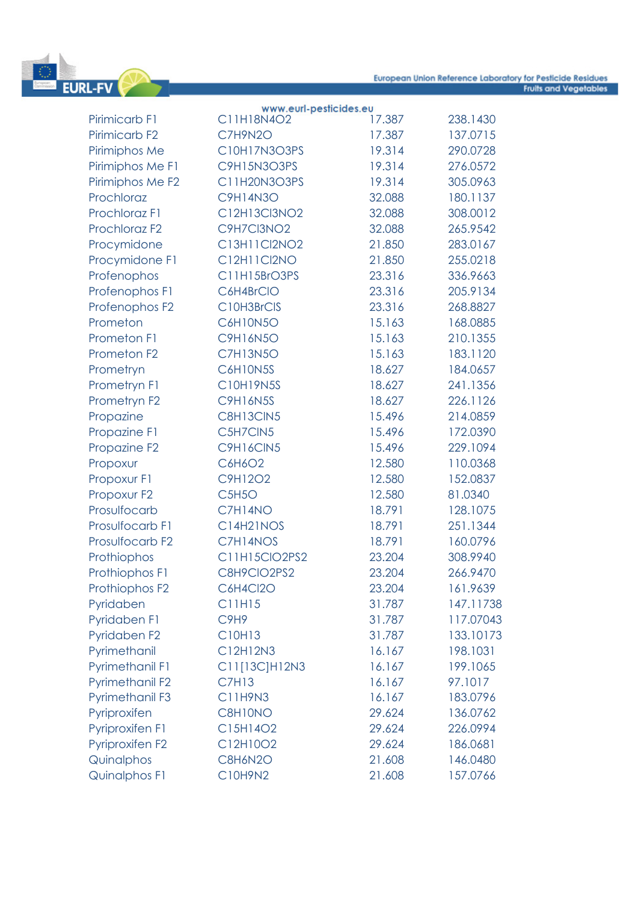

| C11H18N4O2<br>17.387<br>Pirimicarb <sub>F1</sub><br>238.1430<br>Pirimicarb <sub>F2</sub><br>C7H9N2O<br>17.387<br>137.0715 |  |
|---------------------------------------------------------------------------------------------------------------------------|--|
|                                                                                                                           |  |
|                                                                                                                           |  |
| C10H17N3O3PS<br>19.314<br>Pirimiphos Me<br>290.0728                                                                       |  |
| Pirimiphos Me F1<br>C9H15N3O3PS<br>19.314<br>276.0572                                                                     |  |
| Pirimiphos Me F2<br>C11H20N3O3PS<br>19.314<br>305.0963                                                                    |  |
| Prochloraz<br><b>C9H14N3O</b><br>32.088<br>180.1137                                                                       |  |
| Prochloraz F1<br>C12H13Cl3NO2<br>32.088<br>308.0012                                                                       |  |
| Prochloraz F <sub>2</sub><br>C9H7Cl3NO2<br>32.088<br>265.9542                                                             |  |
| Procymidone<br>C13H11Cl2NO2<br>21.850<br>283.0167                                                                         |  |
| C12H11Cl2NO<br>255.0218<br>Procymidone F1<br>21.850                                                                       |  |
| C11H15BrO3PS<br>Profenophos<br>23.316<br>336.9663                                                                         |  |
| Profenophos F1<br>C6H4BrCIO<br>23.316<br>205.9134                                                                         |  |
| Profenophos F2<br>C10H3BrCIS<br>23.316<br>268.8827                                                                        |  |
| Prometon<br><b>C6H10N5O</b><br>15.163<br>168.0885                                                                         |  |
| <b>Prometon F1</b><br><b>C9H16N5O</b><br>15.163<br>210.1355                                                               |  |
| Prometon F <sub>2</sub><br><b>C7H13N5O</b><br>15.163<br>183.1120                                                          |  |
| C6H10N5S<br>18.627<br>184.0657<br>Prometryn                                                                               |  |
| Prometryn F1<br>C10H19N5S<br>18.627<br>241.1356                                                                           |  |
| Prometryn F2<br><b>C9H16N5S</b><br>18.627<br>226.1126                                                                     |  |
| C8H13CIN5<br>15.496<br>214.0859<br>Propazine                                                                              |  |
| Propazine F1<br>C5H7CIN5<br>15.496<br>172.0390                                                                            |  |
| 229.1094<br>Propazine F2<br>C9H16CIN5<br>15.496                                                                           |  |
| C6H6O2<br>12.580<br>110.0368<br>Propoxur                                                                                  |  |
| C9H12O2<br>Propoxur F1<br>12.580<br>152.0837                                                                              |  |
| Propoxur F2<br>C5H5O<br>12.580<br>81.0340                                                                                 |  |
| C7H14NO<br>18.791<br>Prosulfocarb<br>128.1075                                                                             |  |
| Prosulfocarb F1<br>C14H21NOS<br>18.791<br>251.1344                                                                        |  |
| C7H14NOS<br>Prosulfocarb F2<br>18.791<br>160.0796                                                                         |  |
| Prothiophos<br>C11H15ClO2PS2<br>23.204<br>308.9940                                                                        |  |
| C8H9CIO2PS2<br>Prothiophos F1<br>23.204<br>266.9470                                                                       |  |
| Prothiophos F2<br>C6H4Cl2O<br>23.204<br>161.9639                                                                          |  |
| C11H15<br>31.787<br>147.11738<br>Pyridaben                                                                                |  |
| Pyridaben F1<br>117.07043<br>C <sub>9</sub> H <sub>9</sub><br>31.787                                                      |  |
| Pyridaben F2<br>C10H13<br>31.787<br>133.10173                                                                             |  |
| Pyrimethanil<br>C12H12N3<br>16.167<br>198.1031                                                                            |  |
| <b>Pyrimethanil F1</b><br>C11[13C]H12N3<br>16.167<br>199.1065                                                             |  |
| Pyrimethanil F2<br><b>C7H13</b><br>16.167<br>97.1017                                                                      |  |
| <b>Pyrimethanil F3</b><br>C11H9N3<br>16.167<br>183.0796                                                                   |  |
| Pyriproxifen<br>C8H10NO<br>29.624<br>136.0762                                                                             |  |
| <b>Pyriproxifen F1</b><br>C15H14O2<br>226.0994<br>29.624                                                                  |  |
| Pyriproxifen F2<br>186.0681<br>C12H10O2<br>29.624                                                                         |  |
| Quinalphos<br>C8H6N2O<br>21.608<br>146.0480                                                                               |  |
| <b>Quinalphos F1</b><br>C10H9N2<br>21.608<br>157.0766                                                                     |  |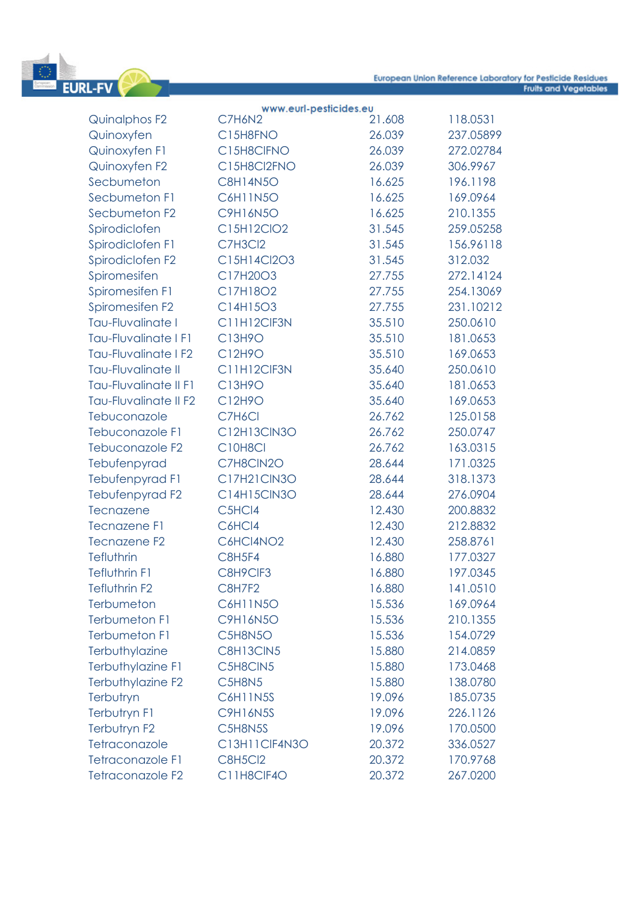

|                           | www.eurl-pesticides.eu |        |           |
|---------------------------|------------------------|--------|-----------|
| Quinalphos F2             | C7H6N2                 | 21.608 | 118.0531  |
| Quinoxyfen                | C15H8FNO               | 26.039 | 237.05899 |
| Quinoxyfen F1             | C15H8CIFNO             | 26.039 | 272.02784 |
| Quinoxyfen F2             | C15H8Cl2FNO            | 26.039 | 306.9967  |
| Secbumeton                | <b>C8H14N5O</b>        | 16.625 | 196.1198  |
| Secbumeton F1             | <b>C6H11N5O</b>        | 16.625 | 169.0964  |
| Secbumeton F2             | <b>C9H16N5O</b>        | 16.625 | 210.1355  |
| Spirodiclofen             | C15H12ClO2             | 31.545 | 259.05258 |
| Spirodiclofen F1          | C7H3Cl2                | 31.545 | 156.96118 |
| Spirodiclofen F2          | C15H14Cl2O3            | 31.545 | 312.032   |
| Spiromesifen              | C17H20O3               | 27.755 | 272.14124 |
| Spiromesifen F1           | C17H18O2               | 27.755 | 254.13069 |
| Spiromesifen F2           | C14H15O3               | 27.755 | 231.10212 |
| Tau-Fluvalinate I         | C11H12CIF3N            | 35.510 | 250.0610  |
| Tau-Fluvalinate   F1      | C13H9O                 | 35.510 | 181.0653  |
| Tau-Fluvalinate I F2      | C12H9O                 | 35.510 | 169.0653  |
| <b>Tau-Fluvalinate II</b> | C11H12CIF3N            | 35.640 | 250.0610  |
| Tau-Fluvalinate II F1     | C13H9O                 | 35.640 | 181.0653  |
| Tau-Fluvalinate II F2     | C12H9O                 | 35.640 | 169.0653  |
| Tebuconazole              | C7H6Cl                 | 26.762 | 125.0158  |
| Tebuconazole F1           | C12H13CIN3O            | 26.762 | 250.0747  |
| Tebuconazole F2           | C10H8Cl                | 26.762 | 163.0315  |
| Tebufenpyrad              | C7H8CIN2O              | 28.644 | 171.0325  |
| Tebufenpyrad F1           | C17H21CIN3O            | 28.644 | 318.1373  |
| Tebufenpyrad F2           | C14H15CIN3O            | 28.644 | 276.0904  |
| Tecnazene                 | C5HCl4                 | 12.430 | 200.8832  |
| <b>Tecnazene F1</b>       | C6HCl4                 | 12.430 | 212.8832  |
| <b>Tecnazene F2</b>       | C6HCI4NO2              | 12.430 | 258.8761  |
| Tefluthrin                | <b>C8H5F4</b>          | 16.880 | 177.0327  |
| Tefluthrin F1             | C8H9CIF3               | 16.880 | 197.0345  |
| Tefluthrin F2             | C8H7F2                 | 16.880 | 141.0510  |
| Terbumeton                | <b>C6H11N5O</b>        | 15.536 | 169.0964  |
| <b>Terbumeton F1</b>      | C9H16N5O               | 15.536 | 210.1355  |
| <b>Terbumeton F1</b>      | C5H8N5O                | 15.536 | 154.0729  |
| Terbuthylazine            | C8H13CIN5              | 15.880 | 214.0859  |
| Terbuthylazine F1         | C5H8CIN5               | 15.880 | 173.0468  |
| Terbuthylazine F2         | C5H8N5                 | 15.880 | 138.0780  |
| Terbutryn                 | <b>C6H11N5S</b>        | 19.096 | 185.0735  |
| Terbutryn F1              | <b>C9H16N5S</b>        | 19.096 | 226.1126  |
| Terbutryn F2              | C5H8N5S                | 19.096 | 170.0500  |
| Tetraconazole             | C13H11CIF4N3O          | 20.372 | 336.0527  |
| <b>Tetraconazole F1</b>   | <b>C8H5Cl2</b>         | 20.372 | 170.9768  |
| Tetraconazole F2          | C11H8ClF4O             | 20.372 | 267.0200  |
|                           |                        |        |           |